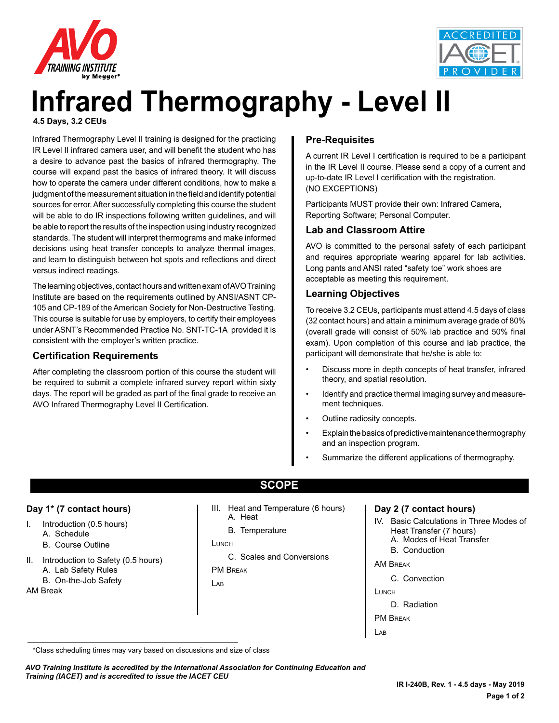



# **Infrared Thermography - Level II 4.5 Days, 3.2 CEUs**

Infrared Thermography Level II training is designed for the practicing IR Level II infrared camera user, and will benefit the student who has a desire to advance past the basics of infrared thermography. The course will expand past the basics of infrared theory. It will discuss how to operate the camera under different conditions, how to make a judgment of the measurement situation in the field and identify potential sources for error. After successfully completing this course the student will be able to do IR inspections following written guidelines, and will be able to report the results of the inspection using industry recognized standards. The student will interpret thermograms and make informed decisions using heat transfer concepts to analyze thermal images, and learn to distinguish between hot spots and reflections and direct versus indirect readings.

The learning objectives, contact hours and written exam of AVO Training Institute are based on the requirements outlined by ANSI/ASNT CP-105 and CP-189 of the American Society for Non-Destructive Testing. This course is suitable for use by employers, to certify their employees under ASNT's Recommended Practice No. SNT-TC-1A provided it is consistent with the employer's written practice.

### **Certification Requirements**

After completing the classroom portion of this course the student will be required to submit a complete infrared survey report within sixty days. The report will be graded as part of the final grade to receive an AVO Infrared Thermography Level II Certification.

## **Pre-Requisites**

A current IR Level I certification is required to be a participant in the IR Level II course. Please send a copy of a current and up-to-date IR Level I certification with the registration. (NO EXCEPTIONS)

Participants MUST provide their own: Infrared Camera, Reporting Software; Personal Computer.

### **Lab and Classroom Attire**

AVO is committed to the personal safety of each participant and requires appropriate wearing apparel for lab activities. Long pants and ANSI rated "safety toe" work shoes are acceptable as meeting this requirement.

### **Learning Objectives**

To receive 3.2 CEUs, participants must attend 4.5 days of class (32 contact hours) and attain a minimum average grade of 80% (overall grade will consist of 50% lab practice and 50% final exam). Upon completion of this course and lab practice, the participant will demonstrate that he/she is able to:

- Discuss more in depth concepts of heat transfer, infrared theory, and spatial resolution.
- Identify and practice thermal imaging survey and measurement techniques.
- Outline radiosity concepts.
- Explain the basics of predictive maintenance thermography and an inspection program.
- Summarize the different applications of thermography.

#### **Day 1\* (7 contact hours)**

- I. Introduction (0.5 hours) A. Schedule
	- B. Course Outline
- II. Introduction to Safety (0.5 hours) A. Lab Safety Rules
	- B. On-the-Job Safety

AM Break

- **SCOPE**
- III. Heat and Temperature (6 hours) A. Heat
	- B. Temperature

#### **LUNCH**

C. Scales and Conversions

PM Break

Lab

#### **Day 2 (7 contact hours)**

IV. Basic Calculations in Three Modes of Heat Transfer (7 hours) A. Modes of Heat Transfer

B. Conduction

AM Break

- C. Convection
- Lunch
	- D. Radiation
- PM Break
- $\overline{A}$

*AVO Training Institute is accredited by the International Association for Continuing Education and Training (IACET) and is accredited to issue the IACET CEU*

<sup>\*</sup>Class scheduling times may vary based on discussions and size of class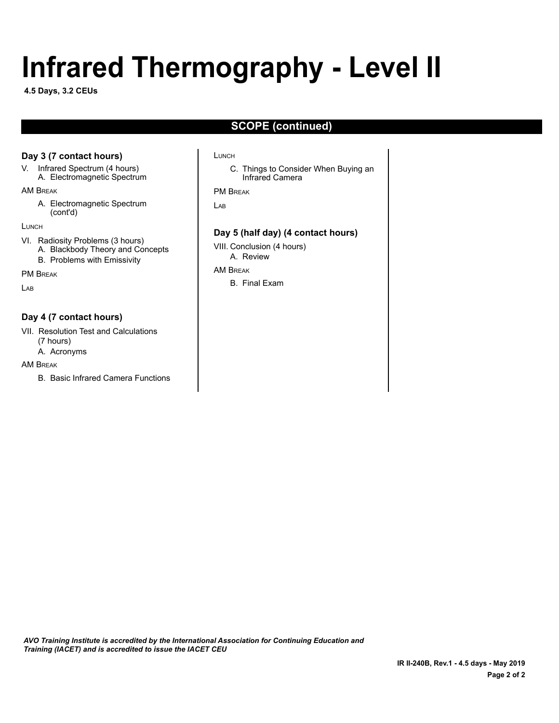# **Infrared Thermography - Level II**

**4.5 Days, 3.2 CEUs**

# **SCOPE (continued)**

### **Day 3 (7 contact hours)**

V. Infrared Spectrum (4 hours) A. Electromagnetic Spectrum

AM Break

A. Electromagnetic Spectrum (cont'd)

**LUNCH** 

VI. Radiosity Problems (3 hours) A. Blackbody Theory and Concepts B. Problems with Emissivity

PM Break

 $\overline{A}$ 

### **Day 4 (7 contact hours)**

VII. Resolution Test and Calculations (7 hours)

A. Acronyms

AM Break

B. Basic Infrared Camera Functions

#### Lunch

C. Things to Consider When Buying an Infrared Camera

#### PM Break

Lab

#### **Day 5 (half day) (4 contact hours)**

VIII. Conclusion (4 hours) A. Review

AM Break

B. Final Exam